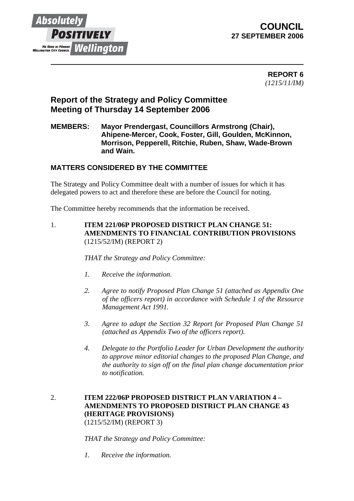

## **COUNCIL 27 SEPTEMBER 2006**

 **REPORT 6** *(1215/11/IM)*

# **Report of the Strategy and Policy Committee Meeting of Thursday 14 September 2006**

## **MEMBERS: Mayor Prendergast, Councillors Armstrong (Chair), Ahipene-Mercer, Cook, Foster, Gill, Goulden, McKinnon, Morrison, Pepperell, Ritchie, Ruben, Shaw, Wade-Brown and Wain.**

## **MATTERS CONSIDERED BY THE COMMITTEE**

The Strategy and Policy Committee dealt with a number of issues for which it has delegated powers to act and therefore these are before the Council for noting.

The Committee hereby recommends that the information be received.

1. **ITEM 221/06P PROPOSED DISTRICT PLAN CHANGE 51: AMENDMENTS TO FINANCIAL CONTRIBUTION PROVISIONS**  (1215/52/IM) (REPORT 2)

*THAT the Strategy and Policy Committee:* 

- *1. Receive the information.*
- *2. Agree to notify Proposed Plan Change 51 (attached as Appendix One of the officers report) in accordance with Schedule 1 of the Resource Management Act 1991.*
- *3. Agree to adopt the Section 32 Report for Proposed Plan Change 51 (attached as Appendix Two of the officers report).*
- *4. Delegate to the Portfolio Leader for Urban Development the authority to approve minor editorial changes to the proposed Plan Change, and the authority to sign off on the final plan change documentation prior to notification.*

### 2. **ITEM 222/06P PROPOSED DISTRICT PLAN VARIATION 4 – AMENDMENTS TO PROPOSED DISTRICT PLAN CHANGE 43 (HERITAGE PROVISIONS)**  (1215/52/IM) (REPORT 3)

*THAT the Strategy and Policy Committee:* 

*1. Receive the information.*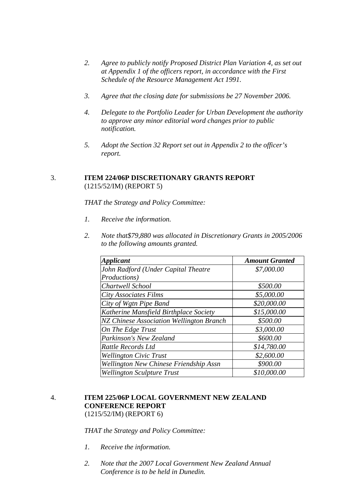- *2. Agree to publicly notify Proposed District Plan Variation 4, as set out at Appendix 1 of the officers report, in accordance with the First Schedule of the Resource Management Act 1991.*
- *3. Agree that the closing date for submissions be 27 November 2006.*
- *4. Delegate to the Portfolio Leader for Urban Development the authority to approve any minor editorial word changes prior to public notification.*
- *5. Adopt the Section 32 Report set out in Appendix 2 to the officer's report.*

## 3. **ITEM 224/06P DISCRETIONARY GRANTS REPORT**  (1215/52/IM) (REPORT 5)

*THAT the Strategy and Policy Committee:* 

- *1. Receive the information.*
- *2. Note that\$79,880 was allocated in Discretionary Grants in 2005/2006 to the following amounts granted.*

| <b>Applicant</b>                         | <b>Amount Granted</b> |
|------------------------------------------|-----------------------|
| John Radford (Under Capital Theatre      | \$7,000.00            |
| Productions)                             |                       |
| Chartwell School                         | \$500.00              |
| City Associates Films                    | \$5,000.00            |
| City of Wgtn Pipe Band                   | \$20,000.00           |
| Katherine Mansfield Birthplace Society   | \$15,000.00           |
| NZ Chinese Association Wellington Branch | \$500.00              |
| On The Edge Trust                        | \$3,000.00            |
| Parkinson's New Zealand                  | \$600.00              |
| Rattle Records Ltd                       | \$14,780.00           |
| <b>Wellington Civic Trust</b>            | \$2,600.00            |
| Wellington New Chinese Friendship Assn   | \$900.00              |
| <b>Wellington Sculpture Trust</b>        | \$10,000.00           |

## 4. **ITEM 225/06P LOCAL GOVERNMENT NEW ZEALAND CONFERENCE REPORT** (1215/52/IM) (REPORT 6)

*THAT the Strategy and Policy Committee:*

- *1. Receive the information.*
- *2. Note that the 2007 Local Government New Zealand Annual Conference is to be held in Dunedin.*